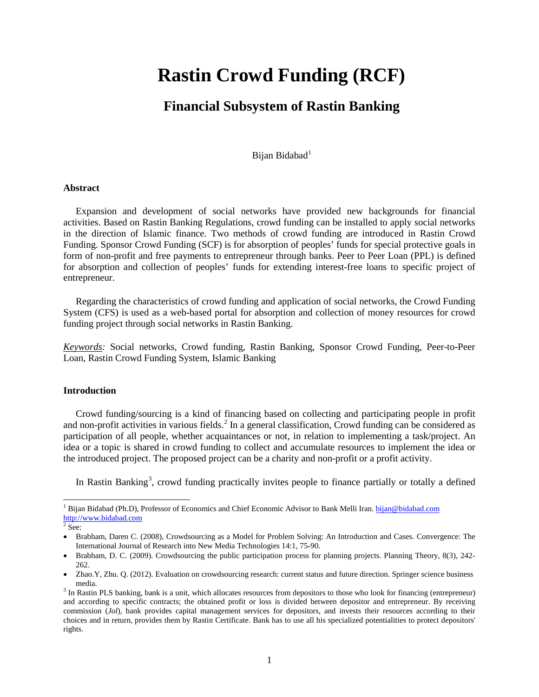# **Rastin Crowd Funding (RCF)**

# **Financial Subsystem of Rastin Banking**

Bijan Bidabad<sup>[1](#page-0-0)</sup>

#### **Abstract**

Expansion and development of social networks have provided new backgrounds for financial activities. Based on Rastin Banking Regulations, crowd funding can be installed to apply social networks in the direction of Islamic finance. Two methods of crowd funding are introduced in Rastin Crowd Funding. Sponsor Crowd Funding (SCF) is for absorption of peoples' funds for special protective goals in form of non-profit and free payments to entrepreneur through banks. Peer to Peer Loan (PPL) is defined for absorption and collection of peoples' funds for extending interest-free loans to specific project of entrepreneur.

Regarding the characteristics of crowd funding and application of social networks, the Crowd Funding System (CFS) is used as a web-based portal for absorption and collection of money resources for crowd funding project through social networks in Rastin Banking.

*Keywords:* Social networks, Crowd funding, Rastin Banking, Sponsor Crowd Funding, Peer-to-Peer Loan, Rastin Crowd Funding System, Islamic Banking

#### **Introduction**

Crowd funding/sourcing is a kind of financing based on collecting and participating people in profit and non-profit activities in various fields.<sup>[2](#page-0-1)</sup> In a general classification, Crowd funding can be considered as participation of all people, whether acquaintances or not, in relation to implementing a task/project. An idea or a topic is shared in crowd funding to collect and accumulate resources to implement the idea or the introduced project. The proposed project can be a charity and non-profit or a profit activity.

In Rastin Banking<sup>[3](#page-0-2)</sup>, crowd funding practically invites people to finance partially or totally a defined

l

<span id="page-0-0"></span><sup>&</sup>lt;sup>1</sup> Bijan Bidabad (Ph.D), Professor of Economics and Chief Economic Advisor to Bank Melli Iran. bijan@bidabad.com [http://www.bidabad.com](http://www.bidabad.com/)

<span id="page-0-1"></span> $2$  See:

<sup>•</sup> Brabham, Daren C. (2008), Crowdsourcing as a Model for Problem Solving: An Introduction and Cases. Convergence: The International Journal of Research into New Media Technologies 14:1, 75-90.

<sup>•</sup> Brabham, D. C. (2009). Crowdsourcing the public participation process for planning projects. Planning Theory, 8(3), 242- 262.

<sup>•</sup> Zhao.Y, Zhu. Q. (2012). Evaluation on crowdsourcing research: current status and future direction. Springer science business media.<br><sup>3</sup> In Rastin PLS banking, bank is a unit, which allocates resources from depositors to those who look for financing (entrepreneur)

<span id="page-0-2"></span>and according to specific contracts; the obtained profit or loss is divided between depositor and entrepreneur. By receiving commission (*Jol*), bank provides capital management services for depositors, and invests their resources according to their choices and in return, provides them by Rastin Certificate. Bank has to use all his specialized potentialities to protect depositors' rights.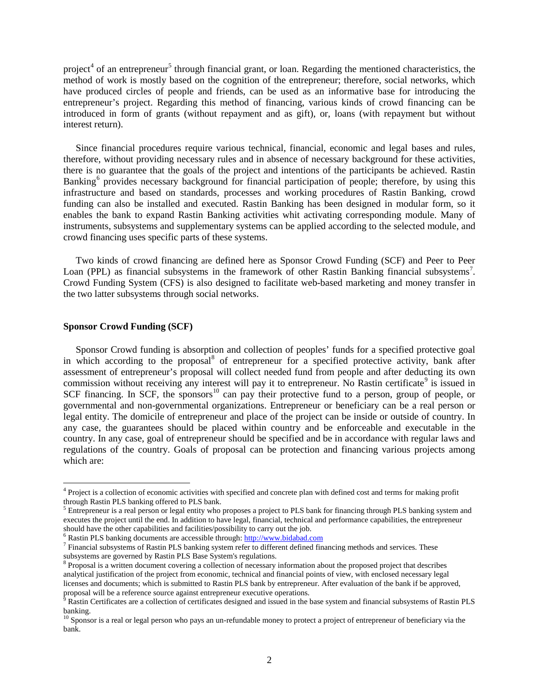project<sup>[4](#page-1-0)</sup> of an entrepreneur<sup>[5](#page-1-1)</sup> through financial grant, or loan. Regarding the mentioned characteristics, the method of work is mostly based on the cognition of the entrepreneur; therefore, social networks, which have produced circles of people and friends, can be used as an informative base for introducing the entrepreneur's project. Regarding this method of financing, various kinds of crowd financing can be introduced in form of grants (without repayment and as gift), or, loans (with repayment but without interest return).

Since financial procedures require various technical, financial, economic and legal bases and rules, therefore, without providing necessary rules and in absence of necessary background for these activities, there is no guarantee that the goals of the project and intentions of the participants be achieved. Rastin Banking<sup>[6](#page-1-2)</sup> provides necessary background for financial participation of people; therefore, by using this infrastructure and based on standards, processes and working procedures of Rastin Banking, crowd funding can also be installed and executed. Rastin Banking has been designed in modular form, so it enables the bank to expand Rastin Banking activities whit activating corresponding module. Many of instruments, subsystems and supplementary systems can be applied according to the selected module, and crowd financing uses specific parts of these systems.

Two kinds of crowd financing are defined here as Sponsor Crowd Funding (SCF) and Peer to Peer Loan (PPL) as financial subsystems in the framework of other Rastin Banking financial subsystems<sup>[7](#page-1-3)</sup>. Crowd Funding System (CFS) is also designed to facilitate web-based marketing and money transfer in the two latter subsystems through social networks.

# **Sponsor Crowd Funding (SCF)**

l

Sponsor Crowd funding is absorption and collection of peoples' funds for a specified protective goal in which according to the proposal<sup>[8](#page-1-4)</sup> of entrepreneur for a specified protective activity, bank after assessment of entrepreneur's proposal will collect needed fund from people and after deducting its own commission without receiving any interest will pay it to entrepreneur. No Rastin certificate<sup>[9](#page-1-5)</sup> is issued in SCF financing. In SCF, the sponsors<sup>[10](#page-1-6)</sup> can pay their protective fund to a person, group of people, or governmental and non-governmental organizations. Entrepreneur or beneficiary can be a real person or legal entity. The domicile of entrepreneur and place of the project can be inside or outside of country. In any case, the guarantees should be placed within country and be enforceable and executable in the country. In any case, goal of entrepreneur should be specified and be in accordance with regular laws and regulations of the country. Goals of proposal can be protection and financing various projects among which are:

<span id="page-1-0"></span><sup>4</sup> Project is a collection of economic activities with specified and concrete plan with defined cost and terms for making profit through Rastin PLS banking offered to PLS bank.

<span id="page-1-1"></span> $\frac{5}{5}$  Entrepreneur is a real person or legal entity who proposes a project to PLS bank for financing through PLS banking system and executes the project until the end. In addition to have legal, financial, technical and performance capabilities, the entrepreneur should have the other capabilities and facilities/possibility to carry out the job.<br><sup>6</sup> Rastin PLS banking documents are accessible through: http://www.bidabad.com

<span id="page-1-3"></span><span id="page-1-2"></span> $^7$  Financial subsystems of Rastin PLS banking system refer to different defined financing methods and services. These subsystems are governed by Rastin PLS Base System's regulations.

<span id="page-1-4"></span><sup>&</sup>lt;sup>8</sup> Proposal is a written document covering a collection of necessary information about the proposed project that describes analytical justification of the project from economic, technical and financial points of view, with enclosed necessary legal licenses and documents; which is submitted to Rastin PLS bank by entrepreneur. After evaluation of the bank if be approved, proposal will be a reference source against entrepreneur executive operations.

<span id="page-1-5"></span> $9$  Rastin Certificates are a collection of certificates designed and issued in the base system and financial subsystems of Rastin PLS banking.

<span id="page-1-6"></span><sup>&</sup>lt;sup>10</sup> Sponsor is a real or legal person who pays an un-refundable money to protect a project of entrepreneur of beneficiary via the bank.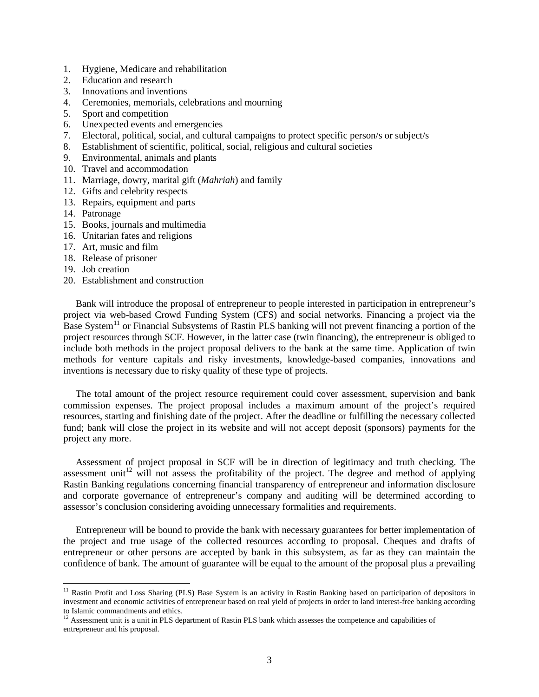- 1. Hygiene, Medicare and rehabilitation
- 2. Education and research
- 3. Innovations and inventions
- 4. Ceremonies, memorials, celebrations and mourning
- 5. Sport and competition
- 6. Unexpected events and emergencies
- 7. Electoral, political, social, and cultural campaigns to protect specific person/s or subject/s
- 8. Establishment of scientific, political, social, religious and cultural societies
- 9. Environmental, animals and plants
- 10. Travel and accommodation
- 11. Marriage, dowry, marital gift (*Mahriah*) and family
- 12. Gifts and celebrity respects
- 13. Repairs, equipment and parts
- 14. Patronage
- 15. Books, journals and multimedia
- 16. Unitarian fates and religions
- 17. Art, music and film
- 18. Release of prisoner
- 19. Job creation

 $\overline{\phantom{a}}$ 

20. Establishment and construction

Bank will introduce the proposal of entrepreneur to people interested in participation in entrepreneur's project via web-based Crowd Funding System (CFS) and social networks. Financing a project via the Base System<sup>[11](#page-2-0)</sup> or Financial Subsystems of Rastin PLS banking will not prevent financing a portion of the project resources through SCF. However, in the latter case (twin financing), the entrepreneur is obliged to include both methods in the project proposal delivers to the bank at the same time. Application of twin methods for venture capitals and risky investments, knowledge-based companies, innovations and inventions is necessary due to risky quality of these type of projects.

The total amount of the project resource requirement could cover assessment, supervision and bank commission expenses. The project proposal includes a maximum amount of the project's required resources, starting and finishing date of the project. After the deadline or fulfilling the necessary collected fund; bank will close the project in its website and will not accept deposit (sponsors) payments for the project any more.

Assessment of project proposal in SCF will be in direction of legitimacy and truth checking. The assessment unit<sup>[12](#page-2-1)</sup> will not assess the profitability of the project. The degree and method of applying Rastin Banking regulations concerning financial transparency of entrepreneur and information disclosure and corporate governance of entrepreneur's company and auditing will be determined according to assessor's conclusion considering avoiding unnecessary formalities and requirements.

Entrepreneur will be bound to provide the bank with necessary guarantees for better implementation of the project and true usage of the collected resources according to proposal. Cheques and drafts of entrepreneur or other persons are accepted by bank in this subsystem, as far as they can maintain the confidence of bank. The amount of guarantee will be equal to the amount of the proposal plus a prevailing

<span id="page-2-0"></span> $11$  Rastin Profit and Loss Sharing (PLS) Base System is an activity in Rastin Banking based on participation of depositors in investment and economic activities of entrepreneur based on real yield of projects in order to land interest-free banking according to Islamic commandments and ethics.

<span id="page-2-1"></span><sup>&</sup>lt;sup>12</sup> Assessment unit is a unit in PLS department of Rastin PLS bank which assesses the competence and capabilities of entrepreneur and his proposal.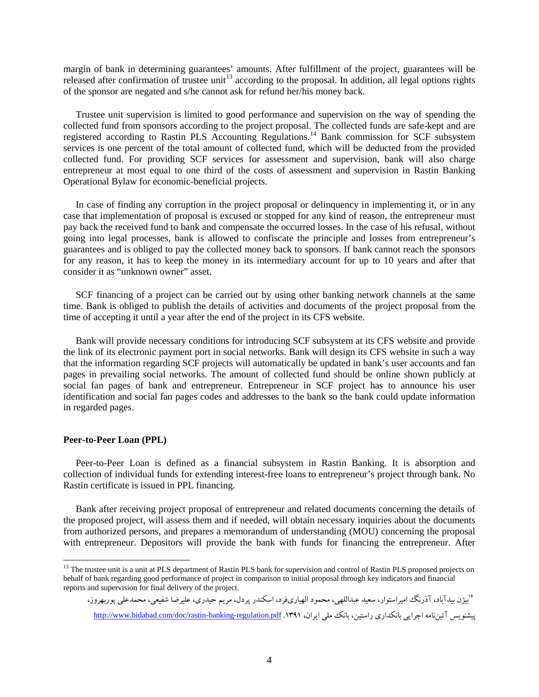margin of bank in determining guarantees' amounts. After fulfillment of the project, guarantees will be released after confirmation of trustee unit<sup>[13](#page-3-0)</sup> according to the proposal. In addition, all legal options rights of the sponsor are negated and s/he cannot ask for refund her/his money back.

Trustee unit supervision is limited to good performance and supervision on the way of spending the collected fund from sponsors according to the project proposal. The collected funds are safe-kept and are registered according to Rastin PLS Accounting Regulations.<sup>[14](#page-3-1)</sup> Bank commission for SCF subsystem services is one percent of the total amount of collected fund, which will be deducted from the provided collected fund. For providing SCF services for assessment and supervision, bank will also charge entrepreneur at most equal to one third of the costs of assessment and supervision in Rastin Banking Operational Bylaw for economic-beneficial projects.

In case of finding any corruption in the project proposal or delinquency in implementing it, or in any case that implementation of proposal is excused or stopped for any kind of reason, the entrepreneur must pay back the received fund to bank and compensate the occurred losses. In the case of his refusal, without going into legal processes, bank is allowed to confiscate the principle and losses from entrepreneur's guarantees and is obliged to pay the collected money back to sponsors. If bank cannot reach the sponsors for any reason, it has to keep the money in its intermediary account for up to 10 years and after that consider it as "unknown owner" asset.

SCF financing of a project can be carried out by using other banking network channels at the same time. Bank is obliged to publish the details of activities and documents of the project proposal from the time of accepting it until a year after the end of the project in its CFS website.

Bank will provide necessary conditions for introducing SCF subsystem at its CFS website and provide the link of its electronic payment port in social networks. Bank will design its CFS website in such a way that the information regarding SCF projects will automatically be updated in bank's user accounts and fan pages in prevailing social networks. The amount of collected fund should be online shown publicly at social fan pages of bank and entrepreneur. Entrepreneur in SCF project has to announce his user identification and social fan pages codes and addresses to the bank so the bank could update information in regarded pages.

#### **Peer-to-Peer Loan (PPL)**

 $\overline{\phantom{a}}$ 

Peer-to-Peer Loan is defined as a financial subsystem in Rastin Banking. It is absorption and collection of individual funds for extending interest-free loans to entrepreneur's project through bank. No Rastin certificate is issued in PPL financing.

Bank after receiving project proposal of entrepreneur and related documents concerning the details of the proposed project, will assess them and if needed, will obtain necessary inquiries about the documents from authorized persons, and prepares a memorandum of understanding (MOU) concerning the proposal with entrepreneur. Depositors will provide the bank with funds for financing the entrepreneur. After

<sup>۱</sup>ابیژن بیدآباد، آذرنگ امیراستوار، سعید عبداللهی، محمود الهیاریفرد، اسکندر پردل، مریم حیدری، علیرضا شفیعی، محمدعلی پوربهروز، ییشنویس آئین نامه اجرایی بانکداری راستین، بانک ملی ایران، ۱۳۹۱. <http://www.bidabad.com/doc/rastin-banking-regulation.pdf> .

<span id="page-3-1"></span><span id="page-3-0"></span><sup>&</sup>lt;sup>13</sup> The trustee unit is a unit at PLS department of Rastin PLS bank for supervision and control of Rastin PLS proposed projects on behalf of bank regarding good performance of project in comparison to initial proposal through key indicators and financial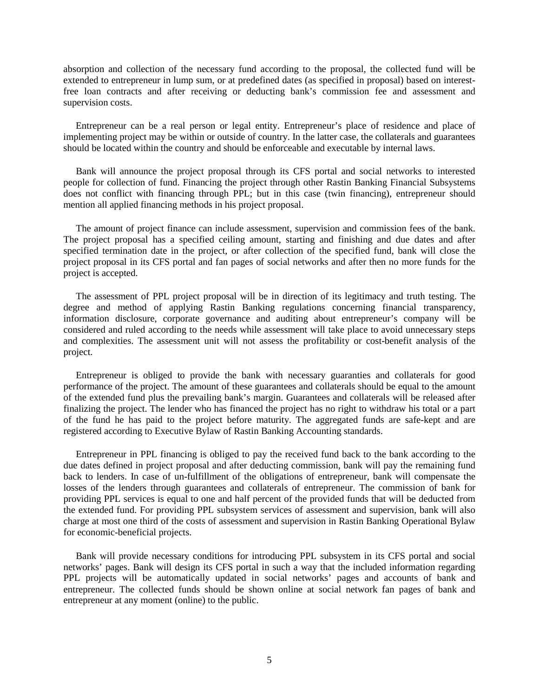absorption and collection of the necessary fund according to the proposal, the collected fund will be extended to entrepreneur in lump sum, or at predefined dates (as specified in proposal) based on interestfree loan contracts and after receiving or deducting bank's commission fee and assessment and supervision costs.

Entrepreneur can be a real person or legal entity. Entrepreneur's place of residence and place of implementing project may be within or outside of country. In the latter case, the collaterals and guarantees should be located within the country and should be enforceable and executable by internal laws.

Bank will announce the project proposal through its CFS portal and social networks to interested people for collection of fund. Financing the project through other Rastin Banking Financial Subsystems does not conflict with financing through PPL; but in this case (twin financing), entrepreneur should mention all applied financing methods in his project proposal.

The amount of project finance can include assessment, supervision and commission fees of the bank. The project proposal has a specified ceiling amount, starting and finishing and due dates and after specified termination date in the project, or after collection of the specified fund, bank will close the project proposal in its CFS portal and fan pages of social networks and after then no more funds for the project is accepted.

The assessment of PPL project proposal will be in direction of its legitimacy and truth testing. The degree and method of applying Rastin Banking regulations concerning financial transparency, information disclosure, corporate governance and auditing about entrepreneur's company will be considered and ruled according to the needs while assessment will take place to avoid unnecessary steps and complexities. The assessment unit will not assess the profitability or cost-benefit analysis of the project.

Entrepreneur is obliged to provide the bank with necessary guaranties and collaterals for good performance of the project. The amount of these guarantees and collaterals should be equal to the amount of the extended fund plus the prevailing bank's margin. Guarantees and collaterals will be released after finalizing the project. The lender who has financed the project has no right to withdraw his total or a part of the fund he has paid to the project before maturity. The aggregated funds are safe-kept and are registered according to Executive Bylaw of Rastin Banking Accounting standards.

Entrepreneur in PPL financing is obliged to pay the received fund back to the bank according to the due dates defined in project proposal and after deducting commission, bank will pay the remaining fund back to lenders. In case of un-fulfillment of the obligations of entrepreneur, bank will compensate the losses of the lenders through guarantees and collaterals of entrepreneur. The commission of bank for providing PPL services is equal to one and half percent of the provided funds that will be deducted from the extended fund. For providing PPL subsystem services of assessment and supervision, bank will also charge at most one third of the costs of assessment and supervision in Rastin Banking Operational Bylaw for economic-beneficial projects.

Bank will provide necessary conditions for introducing PPL subsystem in its CFS portal and social networks' pages. Bank will design its CFS portal in such a way that the included information regarding PPL projects will be automatically updated in social networks' pages and accounts of bank and entrepreneur. The collected funds should be shown online at social network fan pages of bank and entrepreneur at any moment (online) to the public.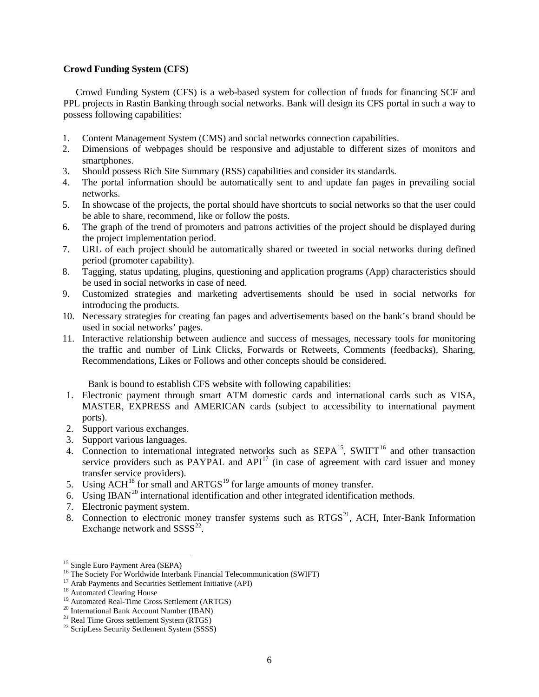# **Crowd Funding System (CFS)**

Crowd Funding System (CFS) is a web-based system for collection of funds for financing SCF and PPL projects in Rastin Banking through social networks. Bank will design its CFS portal in such a way to possess following capabilities:

- 1. Content Management System (CMS) and social networks connection capabilities.
- 2. Dimensions of webpages should be responsive and adjustable to different sizes of monitors and smartphones.
- 3. Should possess Rich Site Summary (RSS) capabilities and consider its standards.
- 4. The portal information should be automatically sent to and update fan pages in prevailing social networks.
- 5. In showcase of the projects, the portal should have shortcuts to social networks so that the user could be able to share, recommend, like or follow the posts.
- 6. The graph of the trend of promoters and patrons activities of the project should be displayed during the project implementation period.
- 7. URL of each project should be automatically shared or tweeted in social networks during defined period (promoter capability).
- 8. Tagging, status updating, plugins, questioning and application programs (App) characteristics should be used in social networks in case of need.
- 9. Customized strategies and marketing advertisements should be used in social networks for introducing the products.
- 10. Necessary strategies for creating fan pages and advertisements based on the bank's brand should be used in social networks' pages.
- 11. Interactive relationship between audience and success of messages, necessary tools for monitoring the traffic and number of Link Clicks, Forwards or Retweets, Comments (feedbacks), Sharing, Recommendations, Likes or Follows and other concepts should be considered.

Bank is bound to establish CFS website with following capabilities:

- 1. Electronic payment through smart ATM domestic cards and international cards such as VISA, MASTER, EXPRESS and AMERICAN cards (subject to accessibility to international payment ports).
- 2. Support various exchanges.
- 3. Support various languages.
- 4. Connection to international integrated networks such as SEPA<sup>[15](#page-5-0)</sup>, SWIFT<sup>[16](#page-5-1)</sup> and other transaction service providers such as PAYPAL and  $API<sup>17</sup>$  $API<sup>17</sup>$  $API<sup>17</sup>$  (in case of agreement with card issuer and money transfer service providers).
- 5. Using  $ACH<sup>18</sup>$  $ACH<sup>18</sup>$  $ACH<sup>18</sup>$  for small and  $ARTGS<sup>19</sup>$  $ARTGS<sup>19</sup>$  $ARTGS<sup>19</sup>$  for large amounts of money transfer.
- 6. Using IBAN<sup>[20](#page-5-5)</sup> international identification and other integrated identification methods.
- 7. Electronic payment system.
- 8. Connection to electronic money transfer systems such as  $RTGS<sup>21</sup>$ , ACH, Inter-Bank Information Exchange network and  $SSSS^{22}$ .

<sup>&</sup>lt;sup>15</sup> Single Euro Payment Area (SEPA)

<span id="page-5-2"></span><span id="page-5-1"></span><span id="page-5-0"></span><sup>&</sup>lt;sup>16</sup> The Society For Worldwide Interbank Financial Telecommunication (SWIFT)<br><sup>17</sup> Arab Payments and Securities Settlement Initiative (API)<br><sup>18</sup> Automated Clearing House<br><sup>19</sup> Automated Real-Time Gross Settlement (ARTGS)<br><sup>2</sup>

<span id="page-5-3"></span>

<span id="page-5-4"></span>

<span id="page-5-5"></span>

<span id="page-5-6"></span>

<span id="page-5-7"></span>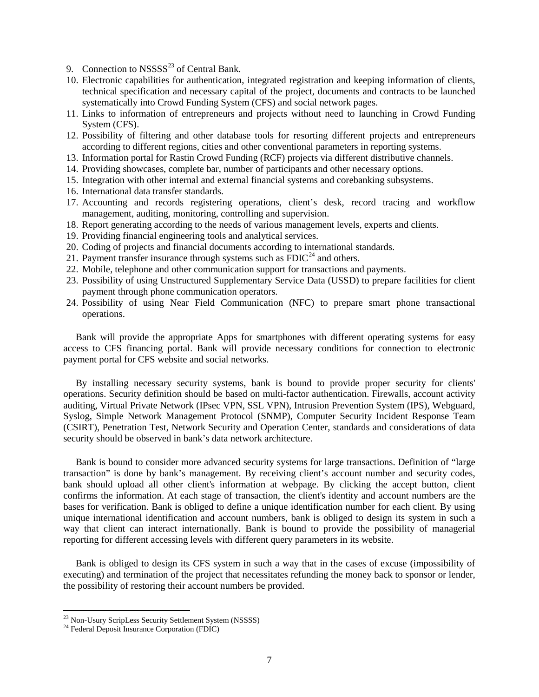- 9. Connection to  $NSSSS^{23}$  $NSSSS^{23}$  $NSSSS^{23}$  of Central Bank.
- 10. Electronic capabilities for authentication, integrated registration and keeping information of clients, technical specification and necessary capital of the project, documents and contracts to be launched systematically into Crowd Funding System (CFS) and social network pages.
- 11. Links to information of entrepreneurs and projects without need to launching in Crowd Funding System (CFS).
- 12. Possibility of filtering and other database tools for resorting different projects and entrepreneurs according to different regions, cities and other conventional parameters in reporting systems.
- 13. Information portal for Rastin Crowd Funding (RCF) projects via different distributive channels.
- 14. Providing showcases, complete bar, number of participants and other necessary options.
- 15. Integration with other internal and external financial systems and corebanking subsystems.
- 16. International data transfer standards.
- 17. Accounting and records registering operations, client's desk, record tracing and workflow management, auditing, monitoring, controlling and supervision.
- 18. Report generating according to the needs of various management levels, experts and clients.
- 19. Providing financial engineering tools and analytical services.
- 20. Coding of projects and financial documents according to international standards.
- 21. Payment transfer insurance through systems such as  $\overline{FDIC}^{24}$  $\overline{FDIC}^{24}$  $\overline{FDIC}^{24}$  and others.
- 22. Mobile, telephone and other communication support for transactions and payments.
- 23. Possibility of using Unstructured Supplementary Service Data (USSD) to prepare facilities for client payment through phone communication operators.
- 24. Possibility of using Near Field Communication (NFC) to prepare smart phone transactional operations.

Bank will provide the appropriate Apps for smartphones with different operating systems for easy access to CFS financing portal. Bank will provide necessary conditions for connection to electronic payment portal for CFS website and social networks.

By installing necessary security systems, bank is bound to provide proper security for clients' operations. Security definition should be based on multi-factor authentication. Firewalls, account activity auditing, Virtual Private Network (IPsec VPN, SSL VPN), Intrusion Prevention System (IPS), Webguard, Syslog, Simple Network Management Protocol (SNMP), Computer Security Incident Response Team (CSIRT), Penetration Test, Network Security and Operation Center, standards and considerations of data security should be observed in bank's data network architecture.

Bank is bound to consider more advanced security systems for large transactions. Definition of "large transaction" is done by bank's management. By receiving client's account number and security codes, bank should upload all other client's information at webpage. By clicking the accept button, client confirms the information. At each stage of transaction, the client's identity and account numbers are the bases for verification. Bank is obliged to define a unique identification number for each client. By using unique international identification and account numbers, bank is obliged to design its system in such a way that client can interact internationally. Bank is bound to provide the possibility of managerial reporting for different accessing levels with different query parameters in its website.

Bank is obliged to design its CFS system in such a way that in the cases of excuse (impossibility of executing) and termination of the project that necessitates refunding the money back to sponsor or lender, the possibility of restoring their account numbers be provided.

 $\overline{\phantom{a}}$ 

<span id="page-6-0"></span><sup>&</sup>lt;sup>23</sup> Non-Usury ScripLess Security Settlement System (NSSSS)<br><sup>24</sup> Federal Deposit Insurance Corporation (FDIC)

<span id="page-6-1"></span>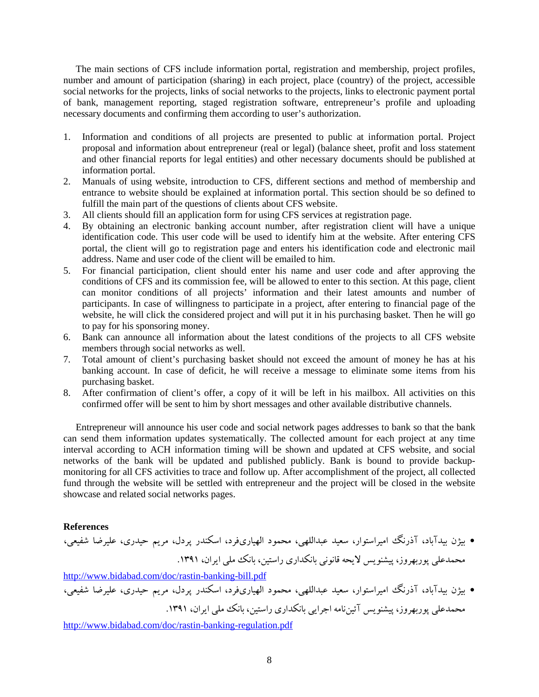The main sections of CFS include information portal, registration and membership, project profiles, number and amount of participation (sharing) in each project, place (country) of the project, accessible social networks for the projects, links of social networks to the projects, links to electronic payment portal of bank, management reporting, staged registration software, entrepreneur's profile and uploading necessary documents and confirming them according to user's authorization.

- 1. Information and conditions of all projects are presented to public at information portal. Project proposal and information about entrepreneur (real or legal) (balance sheet, profit and loss statement and other financial reports for legal entities) and other necessary documents should be published at information portal.
- 2. Manuals of using website, introduction to CFS, different sections and method of membership and entrance to website should be explained at information portal. This section should be so defined to fulfill the main part of the questions of clients about CFS website.
- 3. All clients should fill an application form for using CFS services at registration page.
- 4. By obtaining an electronic banking account number, after registration client will have a unique identification code. This user code will be used to identify him at the website. After entering CFS portal, the client will go to registration page and enters his identification code and electronic mail address. Name and user code of the client will be emailed to him.
- 5. For financial participation, client should enter his name and user code and after approving the conditions of CFS and its commission fee, will be allowed to enter to this section. At this page, client can monitor conditions of all projects' information and their latest amounts and number of participants. In case of willingness to participate in a project, after entering to financial page of the website, he will click the considered project and will put it in his purchasing basket. Then he will go to pay for his sponsoring money.
- 6. Bank can announce all information about the latest conditions of the projects to all CFS website members through social networks as well.
- 7. Total amount of client's purchasing basket should not exceed the amount of money he has at his banking account. In case of deficit, he will receive a message to eliminate some items from his purchasing basket.
- 8. After confirmation of client's offer, a copy of it will be left in his mailbox. All activities on this confirmed offer will be sent to him by short messages and other available distributive channels.

Entrepreneur will announce his user code and social network pages addresses to bank so that the bank can send them information updates systematically. The collected amount for each project at any time interval according to ACH information timing will be shown and updated at CFS website, and social networks of the bank will be updated and published publicly. Bank is bound to provide backupmonitoring for all CFS activities to trace and follow up. After accomplishment of the project, all collected fund through the website will be settled with entrepreneur and the project will be closed in the website showcase and related social networks pages.

### **References**

• بیژن بیدآباد، آذرنگ امیراستوار، سعید عبداللهی، محمود الهیاريفرد، اسکندر پردل، مریم حیدري، علیرضا شفیعی، محمدعلی پوربهروز، پیشنویس لایحه قانونی بانکداري راستین، بانک ملی ایران، .1391

<http://www.bidabad.com/doc/rastin-banking-bill.pdf>

• بیژن بیدآباد، آذرنگ امیراستوار، سعید عبداللهی، محمود الهیاريفرد، اسکندر پردل، مریم حیدري، علیرضا شفیعی، محمدعلی پوربهروز، پیشنویس آئیننامه اجرایی بانکداري راستین، بانک ملی ایران، .1391

<http://www.bidabad.com/doc/rastin-banking-regulation.pdf>